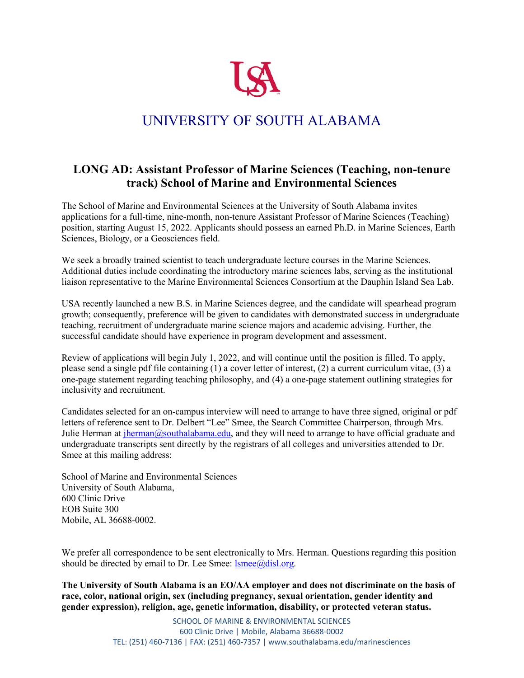

## UNIVERSITY OF SOUTH ALABAMA

## **LONG AD: Assistant Professor of Marine Sciences (Teaching, non-tenure track) School of Marine and Environmental Sciences**

The School of Marine and Environmental Sciences at the University of South Alabama invites applications for a full-time, nine-month, non-tenure Assistant Professor of Marine Sciences (Teaching) position, starting August 15, 2022. Applicants should possess an earned Ph.D. in Marine Sciences, Earth Sciences, Biology, or a Geosciences field.

We seek a broadly trained scientist to teach undergraduate lecture courses in the Marine Sciences. Additional duties include coordinating the introductory marine sciences labs, serving as the institutional liaison representative to the Marine Environmental Sciences Consortium at the Dauphin Island Sea Lab.

USA recently launched a new B.S. in Marine Sciences degree, and the candidate will spearhead program growth; consequently, preference will be given to candidates with demonstrated success in undergraduate teaching, recruitment of undergraduate marine science majors and academic advising. Further, the successful candidate should have experience in program development and assessment.

Review of applications will begin July 1, 2022, and will continue until the position is filled. To apply, please send a single pdf file containing (1) a cover letter of interest, (2) a current curriculum vitae, (3) a one-page statement regarding teaching philosophy, and (4) a one-page statement outlining strategies for inclusivity and recruitment.

Candidates selected for an on-campus interview will need to arrange to have three signed, original or pdf letters of reference sent to Dr. Delbert "Lee" Smee, the Search Committee Chairperson, through Mrs. Julie Herman at *jherman@southalabama.edu*, and they will need to arrange to have official graduate and undergraduate transcripts sent directly by the registrars of all colleges and universities attended to Dr. Smee at this mailing address:

School of Marine and Environmental Sciences University of South Alabama, 600 Clinic Drive EOB Suite 300 Mobile, AL 36688-0002.

We prefer all correspondence to be sent electronically to Mrs. Herman. Questions regarding this position should be directed by email to Dr. Lee Smee:  $l$ smee $@$ disl.org.

**The University of South Alabama is an EO/AA employer and does not discriminate on the basis of race, color, national origin, sex (including pregnancy, sexual orientation, gender identity and gender expression), religion, age, genetic information, disability, or protected veteran status.**